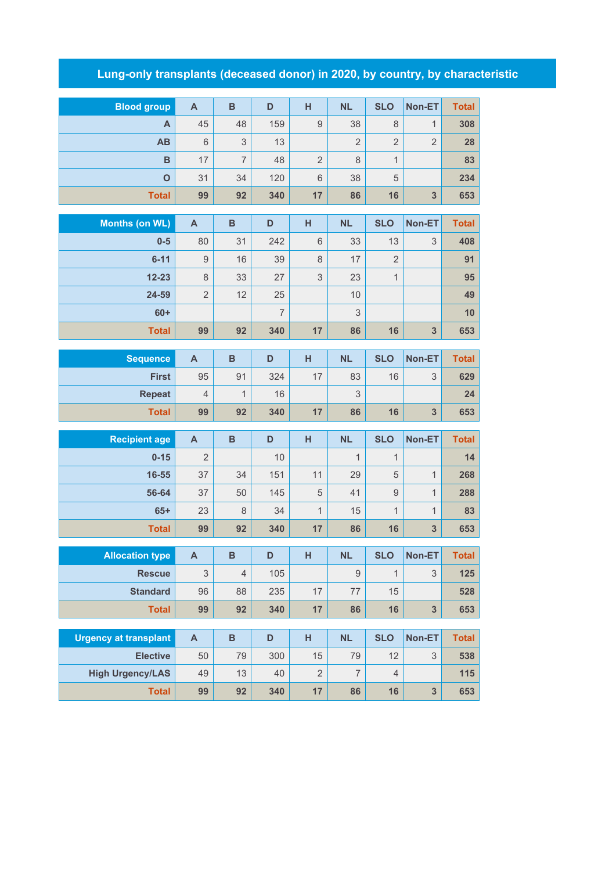## **Lung-only transplants (deceased donor) in 2020, by country, by characteristic**

| <b>Blood group</b>           | $\mathsf{A}$              | $\mathbf B$    | D              | H              | <b>NL</b>        | <b>SLO</b>     | Non-ET         | <b>Total</b> |
|------------------------------|---------------------------|----------------|----------------|----------------|------------------|----------------|----------------|--------------|
| A                            | 45                        | 48             | 159            | 9              | 38               | 8              | 1              | 308          |
| AB                           | $6\,$                     | 3              | 13             |                | $\overline{2}$   | $\overline{2}$ | $\overline{2}$ | 28           |
| B                            | 17                        | $\overline{7}$ | 48             | $\overline{2}$ | 8                | $\mathbf{1}$   |                | 83           |
| $\overline{O}$               | 31                        | 34             | 120            | 6              | 38               | 5              |                | 234          |
| <b>Total</b>                 | 99                        | 92             | 340            | 17             | 86               | 16             | 3              | 653          |
| <b>Months (on WL)</b>        | $\mathbf{A}$              | $\, {\bf B}$   | D              | H              | <b>NL</b>        | <b>SLO</b>     | Non-ET         | <b>Total</b> |
| $0-5$                        | 80                        | 31             | 242            | 6              | 33               | 13             | 3              | 408          |
| $6 - 11$                     | 9                         | 16             | 39             | 8              | 17               | $\overline{2}$ |                | 91           |
| $12 - 23$                    | 8                         | 33             | 27             | 3              | 23               | $\mathbf{1}$   |                | 95           |
| 24-59                        | $\overline{2}$            | 12             | 25             |                | 10               |                |                | 49           |
| $60+$                        |                           |                | $\overline{7}$ |                | 3                |                |                | 10           |
| <b>Total</b>                 | 99                        | 92             | 340            | 17             | 86               | 16             | 3              | 653          |
|                              |                           |                |                |                |                  |                |                |              |
| <b>Sequence</b>              | $\overline{A}$            | $\mathbf B$    | D              | H              | <b>NL</b>        | <b>SLO</b>     | Non-ET         | <b>Total</b> |
| <b>First</b>                 | 95                        | 91             | 324            | 17             | 83               | 16             | 3              | 629          |
| <b>Repeat</b>                | $\overline{4}$            | 1              | 16             |                | 3                |                |                | 24           |
| <b>Total</b>                 | 99                        | 92             | 340            | 17             | 86               | 16             | 3              | 653          |
| <b>Recipient age</b>         | $\overline{A}$            | $\overline{B}$ | D              | н              | <b>NL</b>        | <b>SLO</b>     | Non-ET         | <b>Total</b> |
| $0 - 15$                     | $\overline{2}$            |                | 10             |                | $\mathbf{1}$     | $\mathbf{1}$   |                | 14           |
| 16-55                        | 37                        | 34             | 151            | 11             | 29               | 5              | $\mathbf{1}$   | 268          |
| 56-64                        | 37                        | 50             | 145            | 5              | 41               | $\overline{9}$ | 1              | 288          |
| $65+$                        | 23                        | 8              | 34             | $\mathbf{1}$   | 15               | $\mathbf{1}$   | 1              | 83           |
| <b>Total</b>                 | 99                        | 92             | 340            | 17             | 86               | 16             | 3              | 653          |
|                              |                           |                |                |                |                  |                |                |              |
|                              |                           |                |                |                |                  |                |                |              |
| <b>Allocation type</b>       | $\mathsf{A}$              | B              | D              | H              | <b>NL</b>        | <b>SLO</b>     | Non-ET         | Total        |
| <b>Rescue</b>                | 3                         | $\overline{4}$ | 105            |                | $\boldsymbol{9}$ | $\mathbf{1}$   | 3              | 125          |
| <b>Standard</b>              | 96                        | 88             | 235            | 17             | $77\,$           | 15             |                | 528          |
| <b>Total</b>                 | 99                        | 92             | 340            | 17             | 86               | 16             | 3              | 653          |
| <b>Urgency at transplant</b> | $\boldsymbol{\mathsf{A}}$ | $\, {\bf B}$   | D              | H              | <b>NL</b>        | <b>SLO</b>     | Non-ET         | <b>Total</b> |
| <b>Elective</b>              | 50                        | 79             | 300            | 15             | 79               | 12             | $\mathsf 3$    | 538          |
| <b>High Urgency/LAS</b>      | 49                        | 13             | 40             | $\overline{2}$ | $\overline{7}$   | $\overline{4}$ |                | 115          |